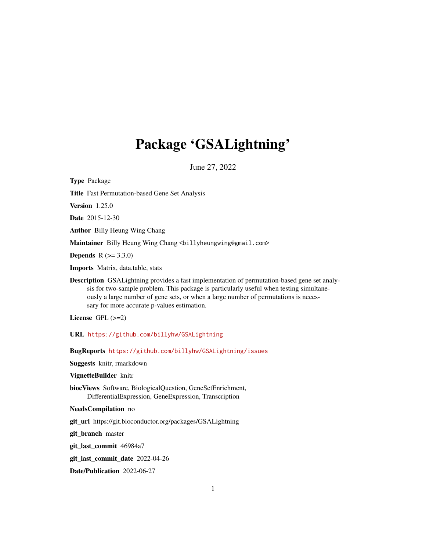## Package 'GSALightning'

June 27, 2022

<span id="page-0-0"></span>Type Package Title Fast Permutation-based Gene Set Analysis Version 1.25.0 Date 2015-12-30 Author Billy Heung Wing Chang Maintainer Billy Heung Wing Chang <br/>billyheungwing@gmail.com> **Depends**  $R (= 3.3.0)$ Imports Matrix, data.table, stats Description GSALightning provides a fast implementation of permutation-based gene set analysis for two-sample problem. This package is particularly useful when testing simultaneously a large number of gene sets, or when a large number of permutations is necessary for more accurate p-values estimation. License GPL  $(>=2)$ URL <https://github.com/billyhw/GSALightning> BugReports <https://github.com/billyhw/GSALightning/issues> Suggests knitr, rmarkdown VignetteBuilder knitr

biocViews Software, BiologicalQuestion, GeneSetEnrichment, DifferentialExpression, GeneExpression, Transcription

NeedsCompilation no

git\_url https://git.bioconductor.org/packages/GSALightning

git\_branch master

git\_last\_commit 46984a7

git\_last\_commit\_date 2022-04-26

Date/Publication 2022-06-27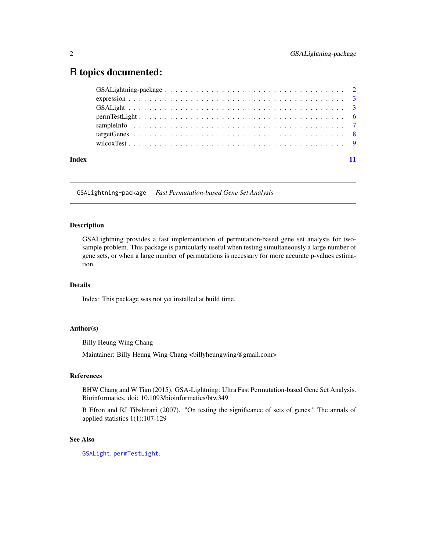## <span id="page-1-0"></span>R topics documented:

|       | $permTestLight \dots \dots \dots \dots \dots \dots \dots \dots \dots \dots \dots \dots \dots \dots \dots \dots$ |  |  |  |
|-------|-----------------------------------------------------------------------------------------------------------------|--|--|--|
|       |                                                                                                                 |  |  |  |
|       |                                                                                                                 |  |  |  |
|       |                                                                                                                 |  |  |  |
| Index |                                                                                                                 |  |  |  |

GSALightning-package *Fast Permutation-based Gene Set Analysis*

## Description

GSALightning provides a fast implementation of permutation-based gene set analysis for twosample problem. This package is particularly useful when testing simultaneously a large number of gene sets, or when a large number of permutations is necessary for more accurate p-values estimation.

## Details

Index: This package was not yet installed at build time.

## Author(s)

Billy Heung Wing Chang

Maintainer: Billy Heung Wing Chang <billyheungwing@gmail.com>

## References

BHW Chang and W Tian (2015). GSA-Lightning: Ultra Fast Permutation-based Gene Set Analysis. Bioinformatics. doi: 10.1093/bioinformatics/btw349

B Efron and RJ Tibshirani (2007). "On testing the significance of sets of genes." The annals of applied statistics 1(1):107-129

## See Also

[GSALight](#page-2-1), [permTestLight](#page-5-1).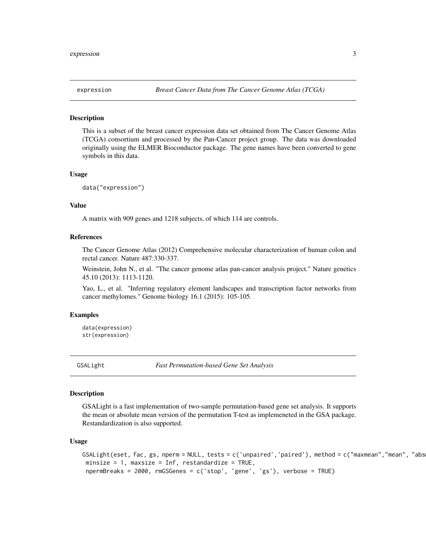<span id="page-2-0"></span>

## Description

This is a subset of the breast cancer expression data set obtained from The Cancer Genome Atlas (TCGA) consortium and processed by the Pan-Cancer project group. The data was downloaded originally using the ELMER Bioconductor package. The gene names have been converted to gene symbols in this data.

#### Usage

data("expression")

#### Value

A matrix with 909 genes and 1218 subjects, of which 114 are controls.

## References

The Cancer Genome Atlas (2012) Comprehensive molecular characterization of human colon and rectal cancer. Nature 487:330-337.

Weinstein, John N., et al. "The cancer genome atlas pan-cancer analysis project." Nature genetics 45.10 (2013): 1113-1120.

Yao, L., et al. "Inferring regulatory element landscapes and transcription factor networks from cancer methylomes." Genome biology 16.1 (2015): 105-105.

## Examples

data(expression) str(expression)

<span id="page-2-1"></span>

GSALight *Fast Permutation-based Gene Set Analysis*

#### Description

GSALight is a fast implementation of two-sample permutation-based gene set analysis. It supports the mean or absolute mean version of the permutation T-test as implemeneted in the GSA package. Restandardization is also supported.

#### Usage

```
GSALight(eset, fac, gs, nperm = NULL, tests = c('unpaired', 'paired'), method = c("maxmean", "mean", "abs)minsize = 1, maxsize = Inf, restandardize = TRUE,
npermBreaks = 2000, rmGSGenes = c('stop', 'gene', 'gs'), verbose = TRUE)
```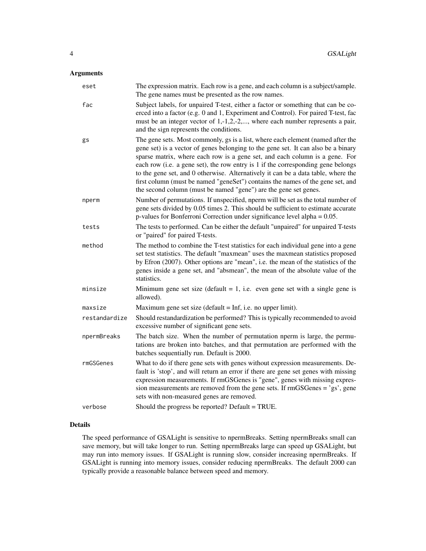## Arguments

| eset          | The expression matrix. Each row is a gene, and each column is a subject/sample.<br>The gene names must be presented as the row names.                                                                                                                                                                                                                                                                                                                                                                                                                                              |
|---------------|------------------------------------------------------------------------------------------------------------------------------------------------------------------------------------------------------------------------------------------------------------------------------------------------------------------------------------------------------------------------------------------------------------------------------------------------------------------------------------------------------------------------------------------------------------------------------------|
| fac           | Subject labels, for unpaired T-test, either a factor or something that can be co-<br>erced into a factor (e.g. 0 and 1, Experiment and Control). For paired T-test, fac<br>must be an integer vector of $1, -1, 2, -2, \dots$ , where each number represents a pair,<br>and the sign represents the conditions.                                                                                                                                                                                                                                                                    |
| gs            | The gene sets. Most commonly, gs is a list, where each element (named after the<br>gene set) is a vector of genes belonging to the gene set. It can also be a binary<br>sparse matrix, where each row is a gene set, and each column is a gene. For<br>each row (i.e. a gene set), the row entry is 1 if the corresponding gene belongs<br>to the gene set, and 0 otherwise. Alternatively it can be a data table, where the<br>first column (must be named "geneSet") contains the names of the gene set, and<br>the second column (must be named "gene") are the gene set genes. |
| nperm         | Number of permutations. If unspecified, nperm will be set as the total number of<br>gene sets divided by 0.05 times 2. This should be sufficient to estimate accurate<br>p-values for Bonferroni Correction under significance level alpha $= 0.05$ .                                                                                                                                                                                                                                                                                                                              |
| tests         | The tests to performed. Can be either the default "unpaired" for unpaired T-tests<br>or "paired" for paired T-tests.                                                                                                                                                                                                                                                                                                                                                                                                                                                               |
| method        | The method to combine the T-test statistics for each individual gene into a gene<br>set test statistics. The default "maxmean" uses the maxmean statistics proposed<br>by Efron (2007). Other options are "mean", i.e. the mean of the statistics of the<br>genes inside a gene set, and "absmean", the mean of the absolute value of the<br>statistics.                                                                                                                                                                                                                           |
| minsize       | Minimum gene set size (default $= 1$ , i.e. even gene set with a single gene is<br>allowed).                                                                                                                                                                                                                                                                                                                                                                                                                                                                                       |
| maxsize       | Maximum gene set size (default $=$ Inf, i.e. no upper limit).                                                                                                                                                                                                                                                                                                                                                                                                                                                                                                                      |
| restandardize | Should restandardization be performed? This is typically recommended to avoid<br>excessive number of significant gene sets.                                                                                                                                                                                                                                                                                                                                                                                                                                                        |
| npermBreaks   | The batch size. When the number of permutation nperm is large, the permu-<br>tations are broken into batches, and that permutation are performed with the<br>batches sequentially run. Default is 2000.                                                                                                                                                                                                                                                                                                                                                                            |
| rmGSGenes     | What to do if there gene sets with genes without expression measurements. De-<br>fault is 'stop', and will return an error if there are gene set genes with missing<br>expression measurements. If rmGSGenes is "gene", genes with missing expres-<br>sion measurements are removed from the gene sets. If rmGSGenes = 'gs', gene<br>sets with non-measured genes are removed.                                                                                                                                                                                                     |
| verbose       | Should the progress be reported? Default = TRUE.                                                                                                                                                                                                                                                                                                                                                                                                                                                                                                                                   |

## Details

The speed performance of GSALight is sensitive to npermBreaks. Setting npermBreaks small can save memory, but will take longer to run. Setting npermBreaks large can speed up GSALight, but may run into memory issues. If GSALight is running slow, consider increasing npermBreaks. If GSALight is running into memory issues, consider reducing npermBreaks. The default 2000 can typically provide a reasonable balance between speed and memory.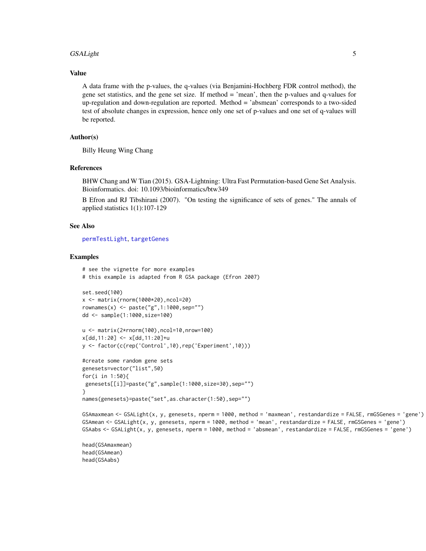#### <span id="page-4-0"></span> $GSALight$  5

#### Value

A data frame with the p-values, the q-values (via Benjamini-Hochberg FDR control method), the gene set statistics, and the gene set size. If method = 'mean', then the p-values and q-values for up-regulation and down-regulation are reported. Method = 'absmean' corresponds to a two-sided test of absolute changes in expression, hence only one set of p-values and one set of q-values will be reported.

## Author(s)

Billy Heung Wing Chang

## References

BHW Chang and W Tian (2015). GSA-Lightning: Ultra Fast Permutation-based Gene Set Analysis. Bioinformatics. doi: 10.1093/bioinformatics/btw349

B Efron and RJ Tibshirani (2007). "On testing the significance of sets of genes." The annals of applied statistics 1(1):107-129

## See Also

[permTestLight](#page-5-1), [targetGenes](#page-7-1)

## Examples

```
# see the vignette for more examples
# this example is adapted from R GSA package (Efron 2007)
set.seed(100)
x <- matrix(rnorm(1000*20),ncol=20)
rownames(x) < -paste("g", 1:1000, sep="")dd <- sample(1:1000,size=100)
u <- matrix(2*rnorm(100),ncol=10,nrow=100)
x[dd, 11:20] <- x[dd, 11:20]+uy <- factor(c(rep('Control',10),rep('Experiment',10)))
#create some random gene sets
genesets=vector("list",50)
for(i in 1:50){
genesets[[i]]=paste("g",sample(1:1000,size=30),sep="")
}
names(genesets)=paste("set",as.character(1:50),sep="")
```

```
GSAmaxmean <- GSALight(x, y, genesets, nperm = 1000, method = 'maxmean', restandardize = FALSE, rmGSGenes = 'gene')
GSAmean <- GSALight(x, y, genesets, nperm = 1000, method = 'mean', restandardize = FALSE, rmGSGenes = 'gene')
GSAabs <- GSALight(x, y, genesets, nperm = 1000, method = 'absmean', restandardize = FALSE, rmGSGenes = 'gene')
```

```
head(GSAmaxmean)
head(GSAmean)
head(GSAabs)
```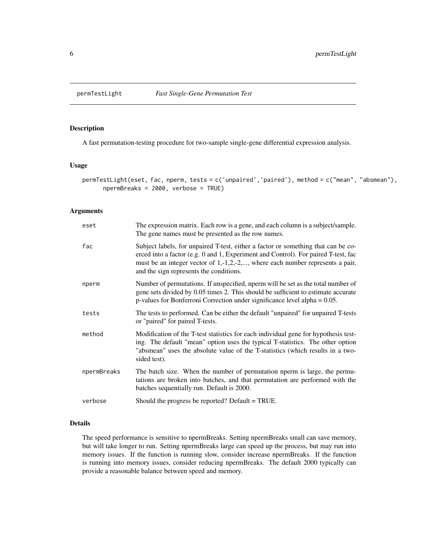<span id="page-5-1"></span><span id="page-5-0"></span>

## Description

A fast permutation-testing procedure for two-sample single-gene differential expression analysis.

#### Usage

```
permTestLight(eset, fac, nperm, tests = c('unpaired','paired'), method = c("mean", "absmean"),
      npermBreaks = 2000, verbose = TRUE)
```
## Arguments

| eset        | The expression matrix. Each row is a gene, and each column is a subject/sample.<br>The gene names must be presented as the row names.                                                                                                                                                                           |
|-------------|-----------------------------------------------------------------------------------------------------------------------------------------------------------------------------------------------------------------------------------------------------------------------------------------------------------------|
| fac         | Subject labels, for unpaired T-test, either a factor or something that can be co-<br>erced into a factor (e.g. 0 and 1, Experiment and Control). For paired T-test, fac<br>must be an integer vector of $1, -1, 2, -2, \dots$ , where each number represents a pair,<br>and the sign represents the conditions. |
| nperm       | Number of permutations. If unspecified, nperm will be set as the total number of<br>gene sets divided by 0.05 times 2. This should be sufficient to estimate accurate<br>p-values for Bonferroni Correction under significance level alpha $= 0.05$ .                                                           |
| tests       | The tests to performed. Can be either the default "unpaired" for unpaired T-tests<br>or "paired" for paired T-tests.                                                                                                                                                                                            |
| method      | Modification of the T-test statistics for each individual gene for hypothesis test-<br>ing. The default "mean" option uses the typical T-statistics. The other option<br>"absmean" uses the absolute value of the T-statistics (which results in a two-<br>sided test).                                         |
| npermBreaks | The batch size. When the number of permutation nperm is large, the permu-<br>tations are broken into batches, and that permutation are performed with the<br>batches sequentially run. Default is 2000.                                                                                                         |
| verbose     | Should the progress be reported? Default = TRUE.                                                                                                                                                                                                                                                                |

## Details

The speed performance is sensitive to npermBreaks. Setting npermBreaks small can save memory, but will take longer to run. Setting npermBreaks large can speed up the process, but may run into memory issues. If the function is running slow, consider increase npermBreaks. If the function is running into memory issues, consider reducing npermBreaks. The default 2000 typically can provide a reasonable balance between speed and memory.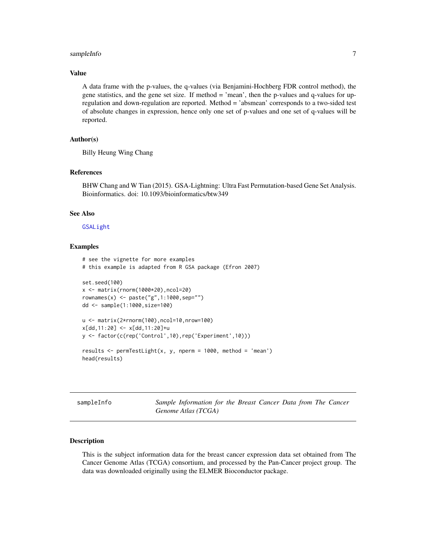## <span id="page-6-0"></span>sampleInfo 7

## Value

A data frame with the p-values, the q-values (via Benjamini-Hochberg FDR control method), the gene statistics, and the gene set size. If method = 'mean', then the p-values and q-values for upregulation and down-regulation are reported. Method = 'absmean' corresponds to a two-sided test of absolute changes in expression, hence only one set of p-values and one set of q-values will be reported.

## Author(s)

Billy Heung Wing Chang

## References

BHW Chang and W Tian (2015). GSA-Lightning: Ultra Fast Permutation-based Gene Set Analysis. Bioinformatics. doi: 10.1093/bioinformatics/btw349

## See Also

#### [GSALight](#page-2-1)

#### Examples

```
# see the vignette for more examples
# this example is adapted from R GSA package (Efron 2007)
set.seed(100)
x <- matrix(rnorm(1000*20),ncol=20)
rownames(x) <- paste("g",1:1000,sep="")
dd <- sample(1:1000,size=100)
u <- matrix(2*rnorm(100),ncol=10,nrow=100)
x[dd,11:20] <- x[dd,11:20]+u
y <- factor(c(rep('Control',10),rep('Experiment',10)))
results <- permTestLight(x, y, nperm = 1000, method = 'mean')
head(results)
```
sampleInfo *Sample Information for the Breast Cancer Data from The Cancer Genome Atlas (TCGA)*

#### Description

This is the subject information data for the breast cancer expression data set obtained from The Cancer Genome Atlas (TCGA) consortium, and processed by the Pan-Cancer project group. The data was downloaded originally using the ELMER Bioconductor package.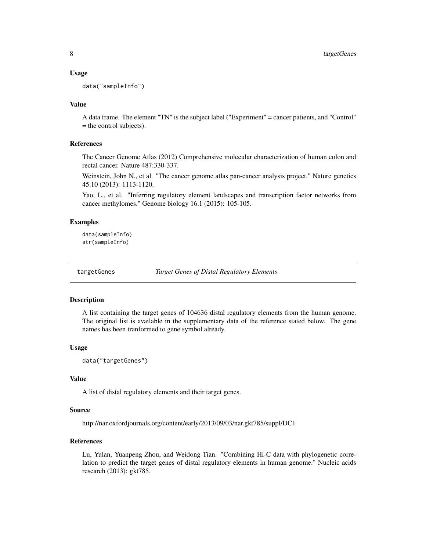#### <span id="page-7-0"></span>Usage

data("sampleInfo")

## Value

A data frame. The element "TN" is the subject label ("Experiment" = cancer patients, and "Control" = the control subjects).

## References

The Cancer Genome Atlas (2012) Comprehensive molecular characterization of human colon and rectal cancer. Nature 487:330-337.

Weinstein, John N., et al. "The cancer genome atlas pan-cancer analysis project." Nature genetics 45.10 (2013): 1113-1120.

Yao, L., et al. "Inferring regulatory element landscapes and transcription factor networks from cancer methylomes." Genome biology 16.1 (2015): 105-105.

## Examples

```
data(sampleInfo)
str(sampleInfo)
```
<span id="page-7-1"></span>targetGenes *Target Genes of Distal Regulatory Elements*

#### **Description**

A list containing the target genes of 104636 distal regulatory elements from the human genome. The original list is available in the supplementary data of the reference stated below. The gene names has been tranformed to gene symbol already.

#### Usage

data("targetGenes")

## Value

A list of distal regulatory elements and their target genes.

#### Source

http://nar.oxfordjournals.org/content/early/2013/09/03/nar.gkt785/suppl/DC1

## References

Lu, Yulan, Yuanpeng Zhou, and Weidong Tian. "Combining Hi-C data with phylogenetic correlation to predict the target genes of distal regulatory elements in human genome." Nucleic acids research (2013): gkt785.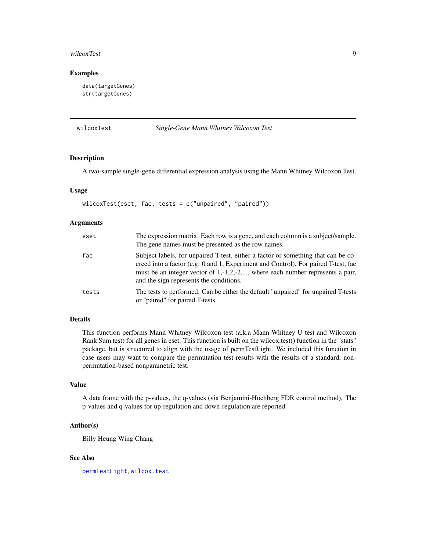#### <span id="page-8-0"></span>wilcoxTest 9

### Examples

```
data(targetGenes)
str(targetGenes)
```
#### wilcoxTest *Single-Gene Mann Whitney Wilcoxon Test*

#### Description

A two-sample single-gene differential expression analysis using the Mann Whitney Wilcoxon Test.

## Usage

```
wilcoxTest(eset, fac, tests = c("unpaired", "paired"))
```
## Arguments

| eset  | The expression matrix. Each row is a gene, and each column is a subject/sample.<br>The gene names must be presented as the row names.                                                                                                                                                                           |
|-------|-----------------------------------------------------------------------------------------------------------------------------------------------------------------------------------------------------------------------------------------------------------------------------------------------------------------|
| fac   | Subject labels, for unpaired T-test, either a factor or something that can be co-<br>erced into a factor (e.g. 0 and 1, Experiment and Control). For paired T-test, fac<br>must be an integer vector of $1, -1, 2, -2, \dots$ , where each number represents a pair,<br>and the sign represents the conditions. |
| tests | The tests to performed. Can be either the default "unpaired" for unpaired T-tests<br>or "paired" for paired T-tests.                                                                                                                                                                                            |

## Details

This function performs Mann Whitney Wilcoxon test (a.k.a Mann Whitney U test and Wilcoxon Rank Sum test) for all genes in eset. This function is built on the wilcox.test() function in the "stats" package, but is structured to align with the usage of permTestLight. We included this function in case users may want to compare the permutation test results with the results of a standard, nonpermutation-based nonparametric test.

## Value

A data frame with the p-values, the q-values (via Benjamini-Hochberg FDR control method). The p-values and q-values for up-regulation and down-regulation are reported.

## Author(s)

Billy Heung Wing Chang

## See Also

[permTestLight](#page-5-1), [wilcox.test](#page-0-0)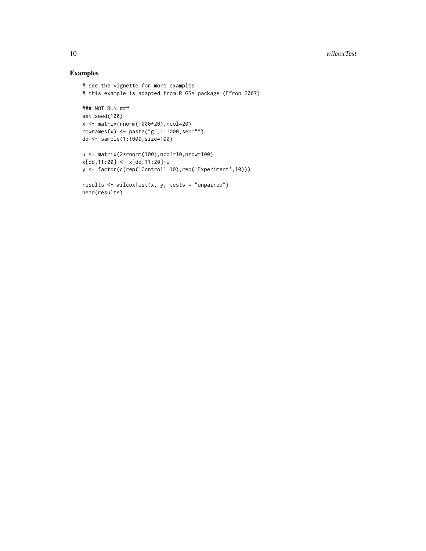## Examples

```
# see the vignette for more examples
# this example is adapted from R GSA package (Efron 2007)
### NOT RUN ###
set.seed(100)
x <- matrix(rnorm(1000*20),ncol=20)
rownames(x) <- paste("g",1:1000,sep="")
dd <- sample(1:1000,size=100)
u <- matrix(2*rnorm(100),ncol=10,nrow=100)
x[dd,11:20] <- x[dd,11:20]+u
y <- factor(c(rep('Control',10),rep('Experiment',10)))
results <- wilcoxTest(x, y, tests = "unpaired")
head(results)
```